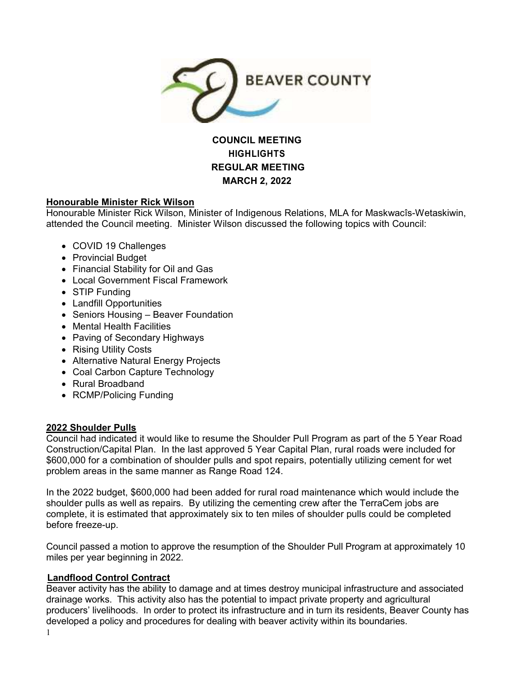

# **COUNCIL MEETING HIGHLIGHTS REGULAR MEETING MARCH 2, 2022**

# **Honourable Minister Rick Wilson**

Honourable Minister Rick Wilson, Minister of Indigenous Relations, MLA for Maskwacîs-Wetaskiwin, attended the Council meeting. Minister Wilson discussed the following topics with Council:

- COVID 19 Challenges
- Provincial Budget
- Financial Stability for Oil and Gas
- Local Government Fiscal Framework
- STIP Funding
- Landfill Opportunities
- Seniors Housing Beaver Foundation
- Mental Health Facilities
- Paving of Secondary Highways
- Rising Utility Costs
- Alternative Natural Energy Projects
- Coal Carbon Capture Technology
- Rural Broadband
- RCMP/Policing Funding

# **2022 Shoulder Pulls**

Council had indicated it would like to resume the Shoulder Pull Program as part of the 5 Year Road Construction/Capital Plan. In the last approved 5 Year Capital Plan, rural roads were included for \$600,000 for a combination of shoulder pulls and spot repairs, potentially utilizing cement for wet problem areas in the same manner as Range Road 124.

In the 2022 budget, \$600,000 had been added for rural road maintenance which would include the shoulder pulls as well as repairs. By utilizing the cementing crew after the TerraCem jobs are complete, it is estimated that approximately six to ten miles of shoulder pulls could be completed before freeze-up.

Council passed a motion to approve the resumption of the Shoulder Pull Program at approximately 10 miles per year beginning in 2022.

# **Landflood Control Contract**

Beaver activity has the ability to damage and at times destroy municipal infrastructure and associated drainage works. This activity also has the potential to impact private property and agricultural producers' livelihoods. In order to protect its infrastructure and in turn its residents, Beaver County has developed a policy and procedures for dealing with beaver activity within its boundaries.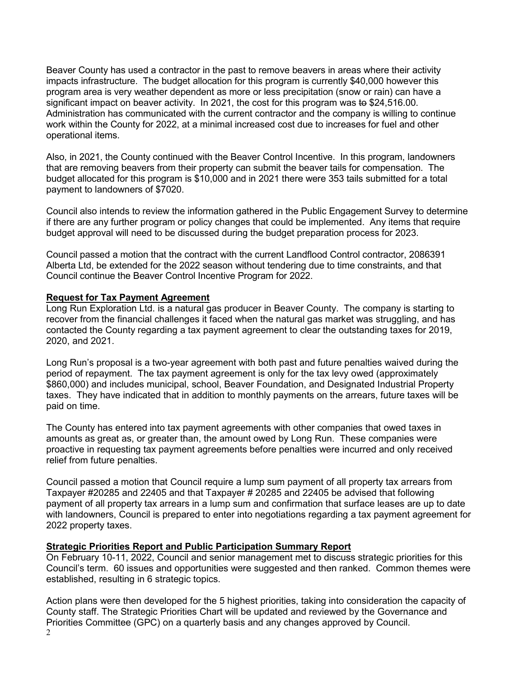Beaver County has used a contractor in the past to remove beavers in areas where their activity impacts infrastructure. The budget allocation for this program is currently \$40,000 however this program area is very weather dependent as more or less precipitation (snow or rain) can have a significant impact on beaver activity. In 2021, the cost for this program was to \$24,516.00. Administration has communicated with the current contractor and the company is willing to continue work within the County for 2022, at a minimal increased cost due to increases for fuel and other operational items.

Also, in 2021, the County continued with the Beaver Control Incentive. In this program, landowners that are removing beavers from their property can submit the beaver tails for compensation. The budget allocated for this program is \$10,000 and in 2021 there were 353 tails submitted for a total payment to landowners of \$7020.

Council also intends to review the information gathered in the Public Engagement Survey to determine if there are any further program or policy changes that could be implemented. Any items that require budget approval will need to be discussed during the budget preparation process for 2023.

Council passed a motion that the contract with the current Landflood Control contractor, 2086391 Alberta Ltd, be extended for the 2022 season without tendering due to time constraints, and that Council continue the Beaver Control Incentive Program for 2022.

#### **Request for Tax Payment Agreement**

Long Run Exploration Ltd. is a natural gas producer in Beaver County. The company is starting to recover from the financial challenges it faced when the natural gas market was struggling, and has contacted the County regarding a tax payment agreement to clear the outstanding taxes for 2019, 2020, and 2021.

Long Run's proposal is a two-year agreement with both past and future penalties waived during the period of repayment. The tax payment agreement is only for the tax levy owed (approximately \$860,000) and includes municipal, school, Beaver Foundation, and Designated Industrial Property taxes. They have indicated that in addition to monthly payments on the arrears, future taxes will be paid on time.

The County has entered into tax payment agreements with other companies that owed taxes in amounts as great as, or greater than, the amount owed by Long Run. These companies were proactive in requesting tax payment agreements before penalties were incurred and only received relief from future penalties.

Council passed a motion that Council require a lump sum payment of all property tax arrears from Taxpayer #20285 and 22405 and that Taxpayer # 20285 and 22405 be advised that following payment of all property tax arrears in a lump sum and confirmation that surface leases are up to date with landowners, Council is prepared to enter into negotiations regarding a tax payment agreement for 2022 property taxes.

#### **Strategic Priorities Report and Public Participation Summary Report**

On February 10-11, 2022, Council and senior management met to discuss strategic priorities for this Council's term. 60 issues and opportunities were suggested and then ranked. Common themes were established, resulting in 6 strategic topics.

Action plans were then developed for the 5 highest priorities, taking into consideration the capacity of County staff. The Strategic Priorities Chart will be updated and reviewed by the Governance and Priorities Committee (GPC) on a quarterly basis and any changes approved by Council.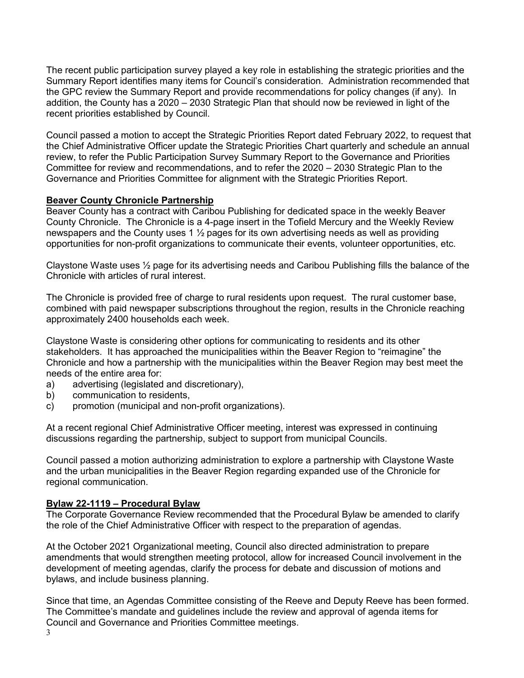The recent public participation survey played a key role in establishing the strategic priorities and the Summary Report identifies many items for Council's consideration. Administration recommended that the GPC review the Summary Report and provide recommendations for policy changes (if any). In addition, the County has a 2020 – 2030 Strategic Plan that should now be reviewed in light of the recent priorities established by Council.

Council passed a motion to accept the Strategic Priorities Report dated February 2022, to request that the Chief Administrative Officer update the Strategic Priorities Chart quarterly and schedule an annual review, to refer the Public Participation Survey Summary Report to the Governance and Priorities Committee for review and recommendations, and to refer the 2020 – 2030 Strategic Plan to the Governance and Priorities Committee for alignment with the Strategic Priorities Report.

# **Beaver County Chronicle Partnership**

Beaver County has a contract with Caribou Publishing for dedicated space in the weekly Beaver County Chronicle. The Chronicle is a 4-page insert in the Tofield Mercury and the Weekly Review newspapers and the County uses 1 ½ pages for its own advertising needs as well as providing opportunities for non-profit organizations to communicate their events, volunteer opportunities, etc.

Claystone Waste uses ½ page for its advertising needs and Caribou Publishing fills the balance of the Chronicle with articles of rural interest.

The Chronicle is provided free of charge to rural residents upon request. The rural customer base, combined with paid newspaper subscriptions throughout the region, results in the Chronicle reaching approximately 2400 households each week.

Claystone Waste is considering other options for communicating to residents and its other stakeholders. It has approached the municipalities within the Beaver Region to "reimagine" the Chronicle and how a partnership with the municipalities within the Beaver Region may best meet the needs of the entire area for:

- a) advertising (legislated and discretionary),
- b) communication to residents,
- c) promotion (municipal and non-profit organizations).

At a recent regional Chief Administrative Officer meeting, interest was expressed in continuing discussions regarding the partnership, subject to support from municipal Councils.

Council passed a motion authorizing administration to explore a partnership with Claystone Waste and the urban municipalities in the Beaver Region regarding expanded use of the Chronicle for regional communication.

#### **Bylaw 22-1119 – Procedural Bylaw**

The Corporate Governance Review recommended that the Procedural Bylaw be amended to clarify the role of the Chief Administrative Officer with respect to the preparation of agendas.

At the October 2021 Organizational meeting, Council also directed administration to prepare amendments that would strengthen meeting protocol, allow for increased Council involvement in the development of meeting agendas, clarify the process for debate and discussion of motions and bylaws, and include business planning.

Since that time, an Agendas Committee consisting of the Reeve and Deputy Reeve has been formed. The Committee's mandate and guidelines include the review and approval of agenda items for Council and Governance and Priorities Committee meetings.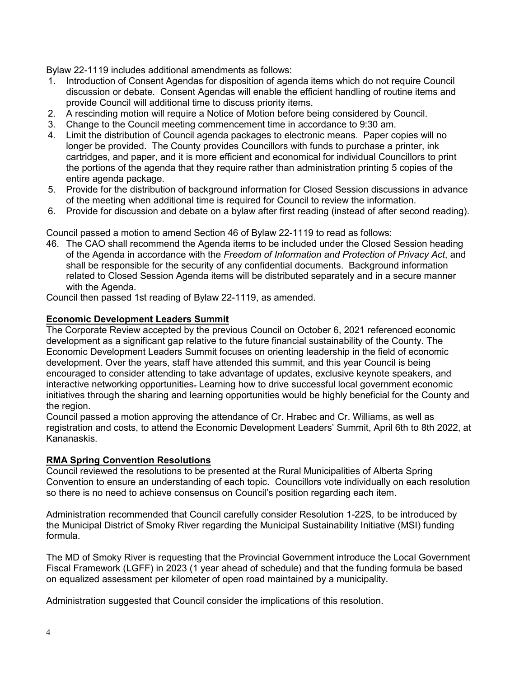Bylaw 22-1119 includes additional amendments as follows:

- 1. Introduction of Consent Agendas for disposition of agenda items which do not require Council discussion or debate. Consent Agendas will enable the efficient handling of routine items and provide Council will additional time to discuss priority items.
- 2. A rescinding motion will require a Notice of Motion before being considered by Council.
- 3. Change to the Council meeting commencement time in accordance to 9:30 am.
- 4. Limit the distribution of Council agenda packages to electronic means. Paper copies will no longer be provided. The County provides Councillors with funds to purchase a printer, ink cartridges, and paper, and it is more efficient and economical for individual Councillors to print the portions of the agenda that they require rather than administration printing 5 copies of the entire agenda package.
- 5. Provide for the distribution of background information for Closed Session discussions in advance of the meeting when additional time is required for Council to review the information.
- 6. Provide for discussion and debate on a bylaw after first reading (instead of after second reading).

Council passed a motion to amend Section 46 of Bylaw 22-1119 to read as follows:

46. The CAO shall recommend the Agenda items to be included under the Closed Session heading of the Agenda in accordance with the *Freedom of Information and Protection of Privacy Act*, and shall be responsible for the security of any confidential documents. Background information related to Closed Session Agenda items will be distributed separately and in a secure manner with the Agenda.

Council then passed 1st reading of Bylaw 22-1119, as amended.

# **Economic Development Leaders Summit**

The Corporate Review accepted by the previous Council on October 6, 2021 referenced economic development as a significant gap relative to the future financial sustainability of the County. The Economic Development Leaders Summit focuses on orienting leadership in the field of economic development. Over the years, staff have attended this summit, and this year Council is being encouraged to consider attending to take advantage of updates, exclusive keynote speakers, and interactive networking opportunities. Learning how to drive successful local government economic initiatives through the sharing and learning opportunities would be highly beneficial for the County and the region.

Council passed a motion approving the attendance of Cr. Hrabec and Cr. Williams, as well as registration and costs, to attend the Economic Development Leaders' Summit, April 6th to 8th 2022, at Kananaskis.

# **RMA Spring Convention Resolutions**

Council reviewed the resolutions to be presented at the Rural Municipalities of Alberta Spring Convention to ensure an understanding of each topic. Councillors vote individually on each resolution so there is no need to achieve consensus on Council's position regarding each item.

Administration recommended that Council carefully consider Resolution 1-22S, to be introduced by the Municipal District of Smoky River regarding the Municipal Sustainability Initiative (MSI) funding formula.

The MD of Smoky River is requesting that the Provincial Government introduce the Local Government Fiscal Framework (LGFF) in 2023 (1 year ahead of schedule) and that the funding formula be based on equalized assessment per kilometer of open road maintained by a municipality.

Administration suggested that Council consider the implications of this resolution.